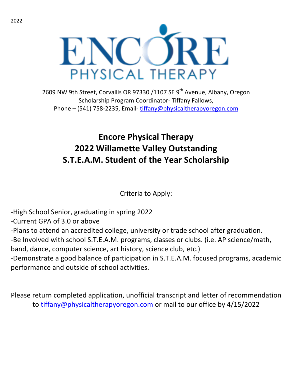PHYSICAL THERAPY

2609 NW 9th Street, Corvallis OR 97330 /1107 SE 9<sup>th</sup> Avenue, Albany, Oregon Scholarship Program Coordinator- Tiffany Fallows, Phone – (541) 758-2235, Email- tiffany@physicaltherapyoregon.com

## **Encore Physical Therapy 2022 Willamette Valley Outstanding S.T.E.A.M. Student of the Year Scholarship**

Criteria to Apply:

-High School Senior, graduating in spring 2022

-Current GPA of 3.0 or above

-Plans to attend an accredited college, university or trade school after graduation.

-Be Involved with school S.T.E.A.M. programs, classes or clubs. (i.e. AP science/math, band, dance, computer science, art history, science club, etc.)

-Demonstrate a good balance of participation in S.T.E.A.M. focused programs, academic performance and outside of school activities.

Please return completed application, unofficial transcript and letter of recommendation to tiffany@physicaltherapyoregon.com or mail to our office by 4/15/2022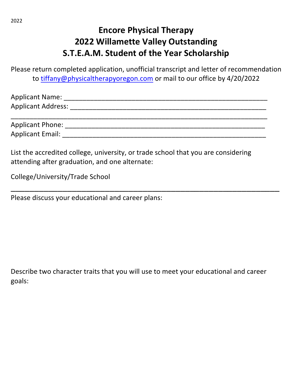## **Encore Physical Therapy 2022 Willamette Valley Outstanding S.T.E.A.M. Student of the Year Scholarship**

Please return completed application, unofficial transcript and letter of recommendation to tiffany@physicaltherapyoregon.com or mail to our office by 4/20/2022

| <b>Applicant Name:</b>    |  |  |
|---------------------------|--|--|
| <b>Applicant Address:</b> |  |  |
|                           |  |  |

| Applicant Phone: |  |
|------------------|--|
| Applicant Email: |  |

\_\_\_\_\_\_\_\_\_\_\_\_\_\_\_\_\_\_\_\_\_\_\_\_\_\_\_\_\_\_\_\_\_\_\_\_\_\_\_\_\_\_\_\_\_\_\_\_\_\_\_\_\_\_\_\_\_

List the accredited college, university, or trade school that you are considering attending after graduation, and one alternate:

College/University/Trade School

Please discuss your educational and career plans:

Describe two character traits that you will use to meet your educational and career goals: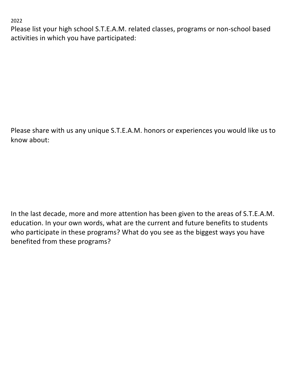2022

Please list your high school S.T.E.A.M. related classes, programs or non-school based activities in which you have participated:

Please share with us any unique S.T.E.A.M. honors or experiences you would like us to know about:

In the last decade, more and more attention has been given to the areas of S.T.E.A.M. education. In your own words, what are the current and future benefits to students who participate in these programs? What do you see as the biggest ways you have benefited from these programs?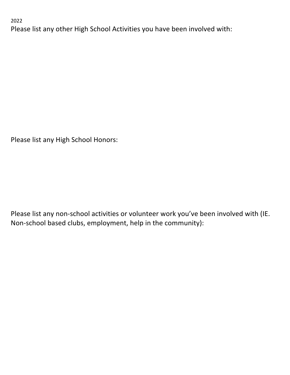```
2022
```
Please list any other High School Activities you have been involved with:

Please list any High School Honors:

Please list any non-school activities or volunteer work you've been involved with (IE. Non-school based clubs, employment, help in the community):